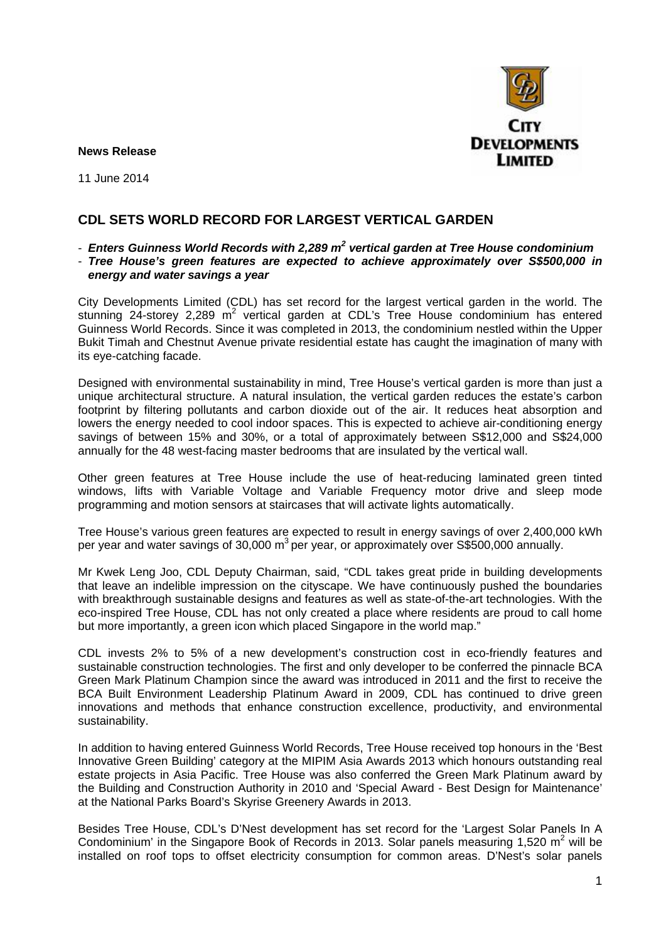

**News Release**

11 June 2014

# **CDL SETS WORLD RECORD FOR LARGEST VERTICAL GARDEN**

- *Enters Guinness World Records with 2,289 m<sup>2</sup> vertical garden at Tree House condominium*
- *Tree House's green features are expected to achieve approximately over S\$500,000 in energy and water savings a year*

City Developments Limited (CDL) has set record for the largest vertical garden in the world. The stunning 24-storey 2,289  $m^2$  vertical garden at CDL's Tree House condominium has entered Guinness World Records. Since it was completed in 2013, the condominium nestled within the Upper Bukit Timah and Chestnut Avenue private residential estate has caught the imagination of many with its eye-catching facade.

Designed with environmental sustainability in mind, Tree House's vertical garden is more than just a unique architectural structure. A natural insulation, the vertical garden reduces the estate's carbon footprint by filtering pollutants and carbon dioxide out of the air. It reduces heat absorption and lowers the energy needed to cool indoor spaces. This is expected to achieve air-conditioning energy savings of between 15% and 30%, or a total of approximately between S\$12,000 and S\$24,000 annually for the 48 west-facing master bedrooms that are insulated by the vertical wall.

Other green features at Tree House include the use of heat-reducing laminated green tinted windows, lifts with Variable Voltage and Variable Frequency motor drive and sleep mode programming and motion sensors at staircases that will activate lights automatically.

Tree House's various green features are expected to result in energy savings of over 2,400,000 kWh per year and water savings of 30,000  $m^3$  per year, or approximately over S\$500,000 annually.

Mr Kwek Leng Joo, CDL Deputy Chairman, said, "CDL takes great pride in building developments that leave an indelible impression on the cityscape. We have continuously pushed the boundaries with breakthrough sustainable designs and features as well as state-of-the-art technologies. With the eco-inspired Tree House, CDL has not only created a place where residents are proud to call home but more importantly, a green icon which placed Singapore in the world map."

CDL invests 2% to 5% of a new development's construction cost in eco-friendly features and sustainable construction technologies. The first and only developer to be conferred the pinnacle BCA Green Mark Platinum Champion since the award was introduced in 2011 and the first to receive the BCA Built Environment Leadership Platinum Award in 2009, CDL has continued to drive green innovations and methods that enhance construction excellence, productivity, and environmental sustainability.

In addition to having entered Guinness World Records, Tree House received top honours in the 'Best Innovative Green Building' category at the MIPIM Asia Awards 2013 which honours outstanding real estate projects in Asia Pacific. Tree House was also conferred the Green Mark Platinum award by the Building and Construction Authority in 2010 and 'Special Award - Best Design for Maintenance' at the National Parks Board's Skyrise Greenery Awards in 2013.

Besides Tree House, CDL's D'Nest development has set record for the 'Largest Solar Panels In A Condominium' in the Singapore Book of Records in 2013. Solar panels measuring 1,520  $m^2$  will be installed on roof tops to offset electricity consumption for common areas. D'Nest's solar panels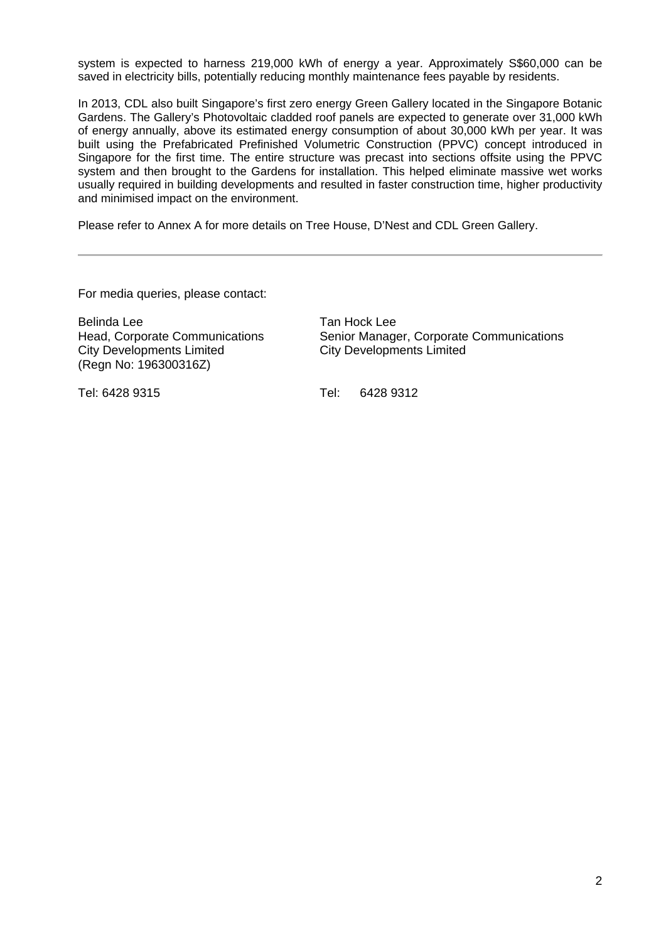system is expected to harness 219,000 kWh of energy a year. Approximately S\$60,000 can be saved in electricity bills, potentially reducing monthly maintenance fees payable by residents.

In 2013, CDL also built Singapore's first zero energy Green Gallery located in the Singapore Botanic Gardens. The Gallery's Photovoltaic cladded roof panels are expected to generate over 31,000 kWh of energy annually, above its estimated energy consumption of about 30,000 kWh per year. It was built using the Prefabricated Prefinished Volumetric Construction (PPVC) concept introduced in Singapore for the first time. The entire structure was precast into sections offsite using the PPVC system and then brought to the Gardens for installation. This helped eliminate massive wet works usually required in building developments and resulted in faster construction time, higher productivity and minimised impact on the environment.

Please refer to Annex A for more details on Tree House, D'Nest and CDL Green Gallery.

For media queries, please contact:

Belinda Lee Tan Hock Lee City Developments Limited (Regn No: 196300316Z)

Head, Corporate Communications<br>
City Developments Limited<br>
City Developments Limited<br>
City Developments Limited

Tel: 6428 9315 Tel: 6428 9312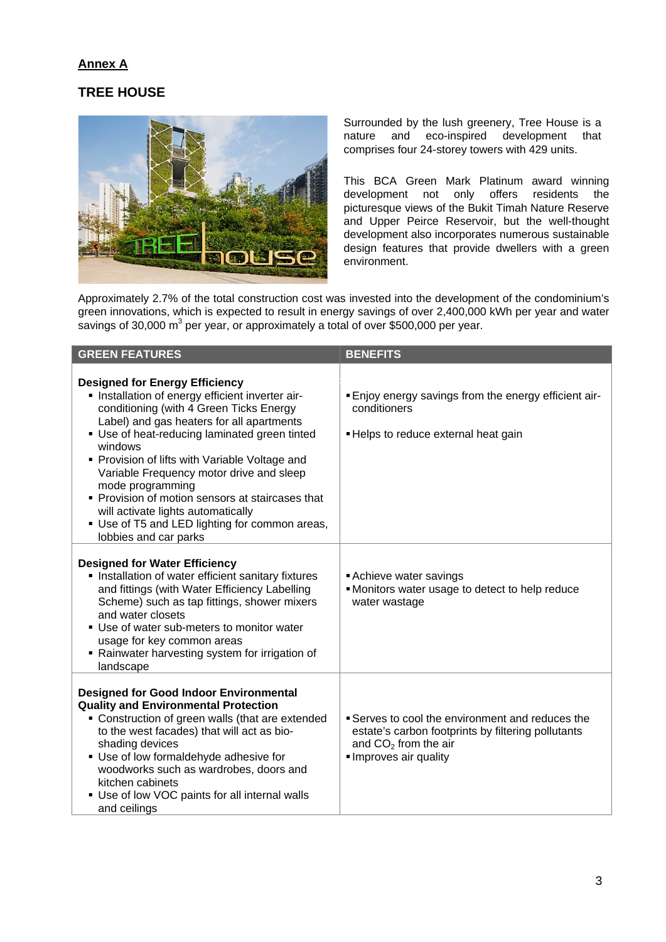#### **Annex A**

### **TREE HOUSE**



Surrounded by the lush greenery, Tree House is a nature and eco-inspired development that comprises four 24-storey towers with 429 units.

This BCA Green Mark Platinum award winning development not only offers residents the picturesque views of the Bukit Timah Nature Reserve and Upper Peirce Reservoir, but the well-thought development also incorporates numerous sustainable design features that provide dwellers with a green environment.

Approximately 2.7% of the total construction cost was invested into the development of the condominium's green innovations, which is expected to result in energy savings of over 2,400,000 kWh per year and water savings of 30,000  $\text{m}^3$  per year, or approximately a total of over \$500,000 per year.

| <b>GREEN FEATURES</b>                                                                                                                                                                                                                                                                                                                                                                                                                                                                                                                | <b>BENEFITS</b>                                                                                                                                        |
|--------------------------------------------------------------------------------------------------------------------------------------------------------------------------------------------------------------------------------------------------------------------------------------------------------------------------------------------------------------------------------------------------------------------------------------------------------------------------------------------------------------------------------------|--------------------------------------------------------------------------------------------------------------------------------------------------------|
| <b>Designed for Energy Efficiency</b><br>· Installation of energy efficient inverter air-<br>conditioning (with 4 Green Ticks Energy<br>Label) and gas heaters for all apartments<br>• Use of heat-reducing laminated green tinted<br>windows<br>• Provision of lifts with Variable Voltage and<br>Variable Frequency motor drive and sleep<br>mode programming<br>• Provision of motion sensors at staircases that<br>will activate lights automatically<br>• Use of T5 and LED lighting for common areas,<br>lobbies and car parks | . Enjoy energy savings from the energy efficient air-<br>conditioners<br>- Helps to reduce external heat gain                                          |
| <b>Designed for Water Efficiency</b><br>Installation of water efficient sanitary fixtures<br>and fittings (with Water Efficiency Labelling<br>Scheme) such as tap fittings, shower mixers<br>and water closets<br>• Use of water sub-meters to monitor water<br>usage for key common areas<br>• Rainwater harvesting system for irrigation of<br>landscape                                                                                                                                                                           | Achieve water savings<br>. Monitors water usage to detect to help reduce<br>water wastage                                                              |
| <b>Designed for Good Indoor Environmental</b><br><b>Quality and Environmental Protection</b><br>• Construction of green walls (that are extended<br>to the west facades) that will act as bio-<br>shading devices<br>• Use of low formaldehyde adhesive for<br>woodworks such as wardrobes, doors and<br>kitchen cabinets<br>• Use of low VOC paints for all internal walls<br>and ceilings                                                                                                                                          | Serves to cool the environment and reduces the<br>estate's carbon footprints by filtering pollutants<br>and $CO2$ from the air<br>Improves air quality |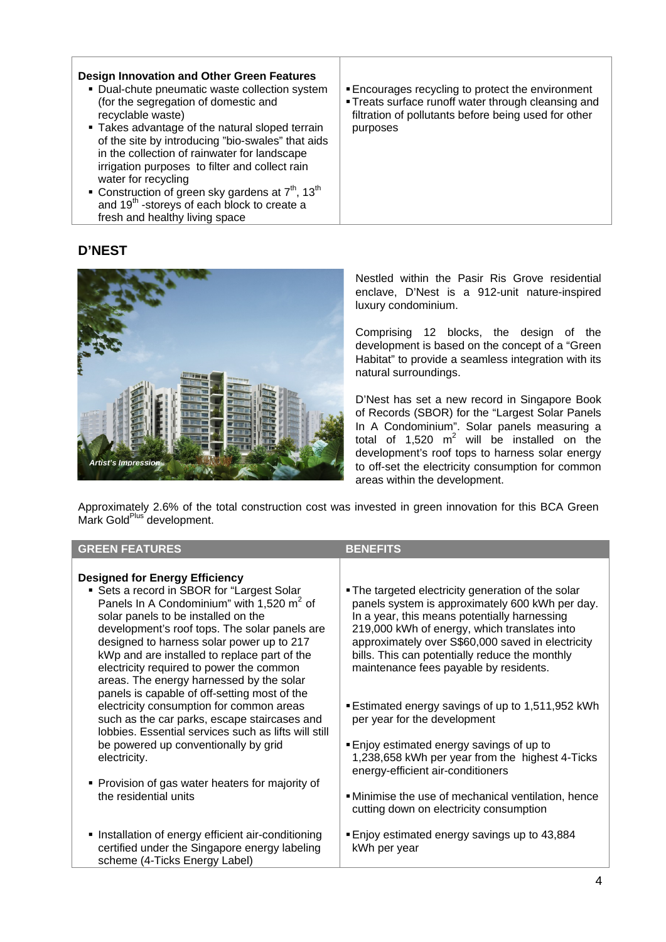| <b>Design Innovation and Other Green Features</b><br>• Dual-chute pneumatic waste collection system<br>(for the segregation of domestic and<br>recyclable waste)<br>• Takes advantage of the natural sloped terrain<br>of the site by introducing "bio-swales" that aids<br>in the collection of rainwater for landscape<br>irrigation purposes to filter and collect rain<br>water for recycling | Encourages recycling to protect the environment<br>• Treats surface runoff water through cleansing and<br>filtration of pollutants before being used for other<br>purposes |
|---------------------------------------------------------------------------------------------------------------------------------------------------------------------------------------------------------------------------------------------------------------------------------------------------------------------------------------------------------------------------------------------------|----------------------------------------------------------------------------------------------------------------------------------------------------------------------------|
| • Construction of green sky gardens at $7th$ , 13 <sup>th</sup><br>and 19 <sup>th</sup> -storeys of each block to create a<br>fresh and healthy living space                                                                                                                                                                                                                                      |                                                                                                                                                                            |

## **D'NEST**



Nestled within the Pasir Ris Grove residential enclave, D'Nest is a 912-unit nature-inspired luxury condominium.

Comprising 12 blocks, the design of the development is based on the concept of a "Green Habitat" to provide a seamless integration with its natural surroundings.

D'Nest has set a new record in Singapore Book of Records (SBOR) for the "Largest Solar Panels In A Condominium". Solar panels measuring a total of 1,520  $m^2$  will be installed on the development's roof tops to harness solar energy to off-set the electricity consumption for common areas within the development.

Approximately 2.6% of the total construction cost was invested in green innovation for this BCA Green Mark Gold<sup>Plus</sup> development.

| <b>GREEN FEATURES</b>                                                                                                                                                                                                                                                                                                                                                                                                                                                                                                                                                                                                                                                                                                                                              | <b>BENEFITS</b>                                                                                                                                                                                                                                                                                                                                                                                                                                                                                                                                                                                                                                                                  |
|--------------------------------------------------------------------------------------------------------------------------------------------------------------------------------------------------------------------------------------------------------------------------------------------------------------------------------------------------------------------------------------------------------------------------------------------------------------------------------------------------------------------------------------------------------------------------------------------------------------------------------------------------------------------------------------------------------------------------------------------------------------------|----------------------------------------------------------------------------------------------------------------------------------------------------------------------------------------------------------------------------------------------------------------------------------------------------------------------------------------------------------------------------------------------------------------------------------------------------------------------------------------------------------------------------------------------------------------------------------------------------------------------------------------------------------------------------------|
| <b>Designed for Energy Efficiency</b><br>• Sets a record in SBOR for "Largest Solar<br>Panels In A Condominium" with 1,520 m <sup>2</sup> of<br>solar panels to be installed on the<br>development's roof tops. The solar panels are<br>designed to harness solar power up to 217<br>kWp and are installed to replace part of the<br>electricity required to power the common<br>areas. The energy harnessed by the solar<br>panels is capable of off-setting most of the<br>electricity consumption for common areas<br>such as the car parks, escape staircases and<br>lobbies. Essential services such as lifts will still<br>be powered up conventionally by grid<br>electricity.<br>• Provision of gas water heaters for majority of<br>the residential units | . The targeted electricity generation of the solar<br>panels system is approximately 600 kWh per day.<br>In a year, this means potentially harnessing<br>219,000 kWh of energy, which translates into<br>approximately over S\$60,000 saved in electricity<br>bills. This can potentially reduce the monthly<br>maintenance fees payable by residents.<br>■ Estimated energy savings of up to 1,511,952 kWh<br>per year for the development<br>Enjoy estimated energy savings of up to<br>1,238,658 kWh per year from the highest 4-Ticks<br>energy-efficient air-conditioners<br>. Minimise the use of mechanical ventilation, hence<br>cutting down on electricity consumption |
| Installation of energy efficient air-conditioning<br>certified under the Singapore energy labeling<br>scheme (4-Ticks Energy Label)                                                                                                                                                                                                                                                                                                                                                                                                                                                                                                                                                                                                                                | ■ Enjoy estimated energy savings up to 43,884<br>kWh per year                                                                                                                                                                                                                                                                                                                                                                                                                                                                                                                                                                                                                    |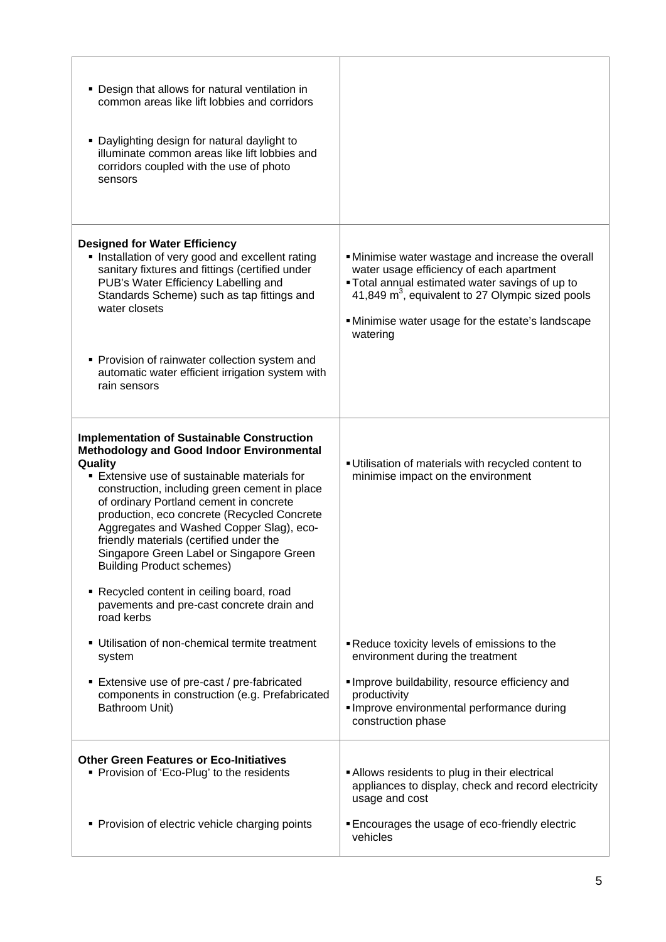| • Design that allows for natural ventilation in<br>common areas like lift lobbies and corridors<br>• Daylighting design for natural daylight to<br>illuminate common areas like lift lobbies and<br>corridors coupled with the use of photo<br>sensors                                                                                                                                                                                                                             |                                                                                                                                                                                                                                                                                   |
|------------------------------------------------------------------------------------------------------------------------------------------------------------------------------------------------------------------------------------------------------------------------------------------------------------------------------------------------------------------------------------------------------------------------------------------------------------------------------------|-----------------------------------------------------------------------------------------------------------------------------------------------------------------------------------------------------------------------------------------------------------------------------------|
| <b>Designed for Water Efficiency</b><br>Installation of very good and excellent rating<br>sanitary fixtures and fittings (certified under<br>PUB's Water Efficiency Labelling and<br>Standards Scheme) such as tap fittings and<br>water closets<br>• Provision of rainwater collection system and                                                                                                                                                                                 | . Minimise water wastage and increase the overall<br>water usage efficiency of each apartment<br>. Total annual estimated water savings of up to<br>41,849 m <sup>3</sup> , equivalent to 27 Olympic sized pools<br>. Minimise water usage for the estate's landscape<br>watering |
| automatic water efficient irrigation system with<br>rain sensors                                                                                                                                                                                                                                                                                                                                                                                                                   |                                                                                                                                                                                                                                                                                   |
| <b>Implementation of Sustainable Construction</b><br><b>Methodology and Good Indoor Environmental</b><br>Quality<br>■ Extensive use of sustainable materials for<br>construction, including green cement in place<br>of ordinary Portland cement in concrete<br>production, eco concrete (Recycled Concrete<br>Aggregates and Washed Copper Slag), eco-<br>friendly materials (certified under the<br>Singapore Green Label or Singapore Green<br><b>Building Product schemes)</b> | Utilisation of materials with recycled content to<br>minimise impact on the environment                                                                                                                                                                                           |
| • Recycled content in ceiling board, road<br>pavements and pre-cast concrete drain and<br>road kerbs                                                                                                                                                                                                                                                                                                                                                                               |                                                                                                                                                                                                                                                                                   |
| • Utilisation of non-chemical termite treatment<br>system                                                                                                                                                                                                                                                                                                                                                                                                                          | <b>-</b> Reduce toxicity levels of emissions to the<br>environment during the treatment                                                                                                                                                                                           |
| ■ Extensive use of pre-cast / pre-fabricated<br>components in construction (e.g. Prefabricated<br>Bathroom Unit)                                                                                                                                                                                                                                                                                                                                                                   | Improve buildability, resource efficiency and<br>productivity<br>Improve environmental performance during<br>construction phase                                                                                                                                                   |
| <b>Other Green Features or Eco-Initiatives</b><br>• Provision of 'Eco-Plug' to the residents                                                                                                                                                                                                                                                                                                                                                                                       | Allows residents to plug in their electrical<br>appliances to display, check and record electricity<br>usage and cost                                                                                                                                                             |
| • Provision of electric vehicle charging points                                                                                                                                                                                                                                                                                                                                                                                                                                    | Encourages the usage of eco-friendly electric<br>vehicles                                                                                                                                                                                                                         |

r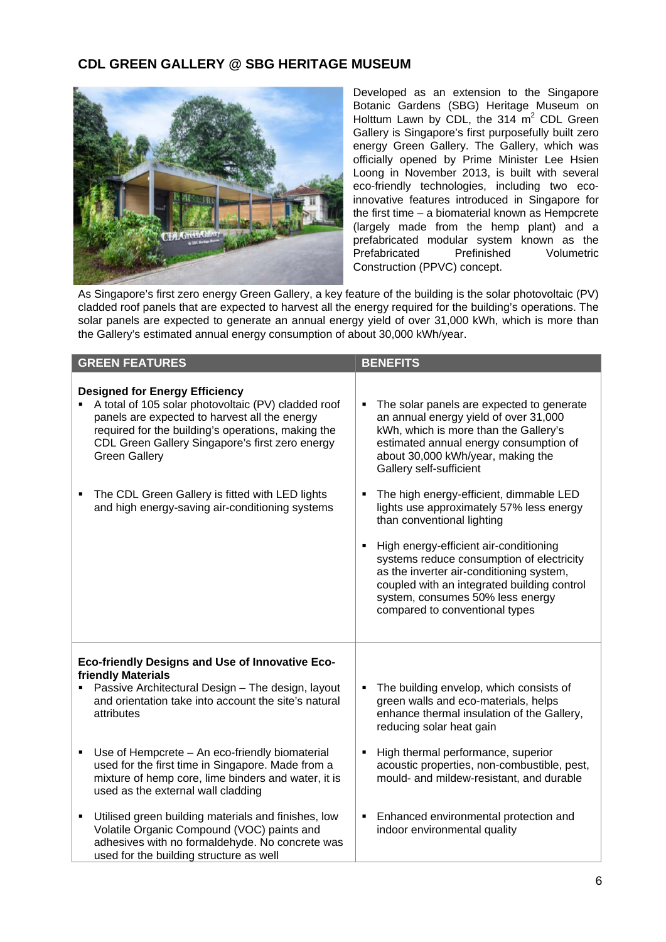### **CDL GREEN GALLERY @ SBG HERITAGE MUSEUM**



Developed as an extension to the Singapore Botanic Gardens (SBG) Heritage Museum on Holttum Lawn by CDL, the 314  $m^2$  CDL Green Gallery is Singapore's first purposefully built zero energy Green Gallery. The Gallery, which was officially opened by Prime Minister Lee Hsien Loong in November 2013, is built with several eco-friendly technologies, including two ecoinnovative features introduced in Singapore for the first time – a biomaterial known as Hempcrete (largely made from the hemp plant) and a prefabricated modular system known as the<br>Prefabricated Prefinished Volumetric Prefabricated Construction (PPVC) concept.

As Singapore's first zero energy Green Gallery, a key feature of the building is the solar photovoltaic (PV) cladded roof panels that are expected to harvest all the energy required for the building's operations. The solar panels are expected to generate an annual energy yield of over 31,000 kWh, which is more than the Gallery's estimated annual energy consumption of about 30,000 kWh/year.

| <b>GREEN FEATURES</b>                                                                                                                                                                                                                                                                                                                                                                                     | <b>BENEFITS</b>                                                                                                                                                                                                                                                                                                                                                                                                                                                                                                                                                                                                              |
|-----------------------------------------------------------------------------------------------------------------------------------------------------------------------------------------------------------------------------------------------------------------------------------------------------------------------------------------------------------------------------------------------------------|------------------------------------------------------------------------------------------------------------------------------------------------------------------------------------------------------------------------------------------------------------------------------------------------------------------------------------------------------------------------------------------------------------------------------------------------------------------------------------------------------------------------------------------------------------------------------------------------------------------------------|
| <b>Designed for Energy Efficiency</b><br>A total of 105 solar photovoltaic (PV) cladded roof<br>panels are expected to harvest all the energy<br>required for the building's operations, making the<br>CDL Green Gallery Singapore's first zero energy<br><b>Green Gallery</b><br>The CDL Green Gallery is fitted with LED lights<br>٠<br>and high energy-saving air-conditioning systems                 | The solar panels are expected to generate<br>٠<br>an annual energy yield of over 31,000<br>kWh, which is more than the Gallery's<br>estimated annual energy consumption of<br>about 30,000 kWh/year, making the<br>Gallery self-sufficient<br>The high energy-efficient, dimmable LED<br>lights use approximately 57% less energy<br>than conventional lighting<br>High energy-efficient air-conditioning<br>٠<br>systems reduce consumption of electricity<br>as the inverter air-conditioning system,<br>coupled with an integrated building control<br>system, consumes 50% less energy<br>compared to conventional types |
| Eco-friendly Designs and Use of Innovative Eco-<br>friendly Materials<br>Passive Architectural Design - The design, layout<br>and orientation take into account the site's natural<br>attributes<br>Use of Hempcrete - An eco-friendly biomaterial<br>٠<br>used for the first time in Singapore. Made from a<br>mixture of hemp core, lime binders and water, it is<br>used as the external wall cladding | The building envelop, which consists of<br>green walls and eco-materials, helps<br>enhance thermal insulation of the Gallery,<br>reducing solar heat gain<br>High thermal performance, superior<br>acoustic properties, non-combustible, pest,<br>mould- and mildew-resistant, and durable                                                                                                                                                                                                                                                                                                                                   |
| Utilised green building materials and finishes, low<br>٠<br>Volatile Organic Compound (VOC) paints and<br>adhesives with no formaldehyde. No concrete was<br>used for the building structure as well                                                                                                                                                                                                      | Enhanced environmental protection and<br>indoor environmental quality                                                                                                                                                                                                                                                                                                                                                                                                                                                                                                                                                        |